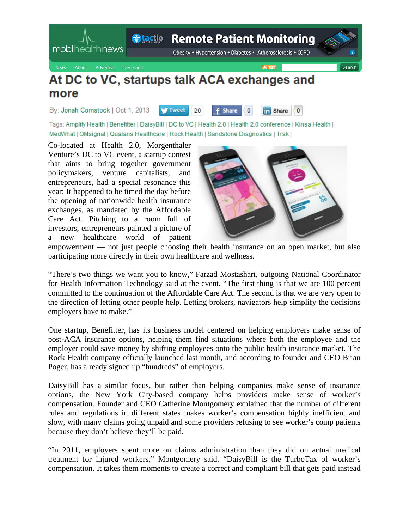**Remote Patient Monitoring Otacrio** 

Obesity • Hypertension • Diabetes • Atherosclerosis • COPD

mobihealthnews

## At DC to VC, startups talk ACA exchanges and more

By: Jonah Comstock | Oct 1, 2013 **y** Tweet 20 **Share** in Share  $\circ$ 

Tags: Amplify Health | Benefitter | DaisyBill | DC to VC | Health 2.0 | Health 2.0 conference | Kinsa Health | MedWhat | OMsignal | Qualaris Healthcare | Rock Health | Sandstone Diagnostics | Trak |

Co-located at Health 2.0, Morgenthaler Venture's DC to VC event, a startup contest that aims to bring together government policymakers, venture capitalists, and entrepreneurs, had a special resonance this year: It happened to be timed the day before the opening of nationwide health insurance exchanges, as mandated by the Affordable Care Act. Pitching to a room full of investors, entrepreneurs painted a picture of a new healthcare world of patient



∛ο.

Search

empowerment — not just people choosing their health insurance on an open market, but also participating more directly in their own healthcare and wellness.

"There's two things we want you to know," Farzad Mostashari, outgoing National Coordinator for Health Information Technology said at the event. "The first thing is that we are 100 percent committed to the continuation of the Affordable Care Act. The second is that we are very open to the direction of letting other people help. Letting brokers, navigators help simplify the decisions employers have to make."

One startup, Benefitter, has its business model centered on helping employers make sense of post-ACA insurance options, helping them find situations where both the employee and the employer could save money by shifting employees onto the public health insurance market. The Rock Health company officially launched last month, and according to founder and CEO Brian Poger, has already signed up "hundreds" of employers.

DaisyBill has a similar focus, but rather than helping companies make sense of insurance options, the New York City-based company helps providers make sense of worker's compensation. Founder and CEO Catherine Montgomery explained that the number of different rules and regulations in different states makes worker's compensation highly inefficient and slow, with many claims going unpaid and some providers refusing to see worker's comp patients because they don't believe they'll be paid.

"In 2011, employers spent more on claims administration than they did on actual medical treatment for injured workers," Montgomery said. "DaisyBill is the TurboTax of worker's compensation. It takes them moments to create a correct and compliant bill that gets paid instead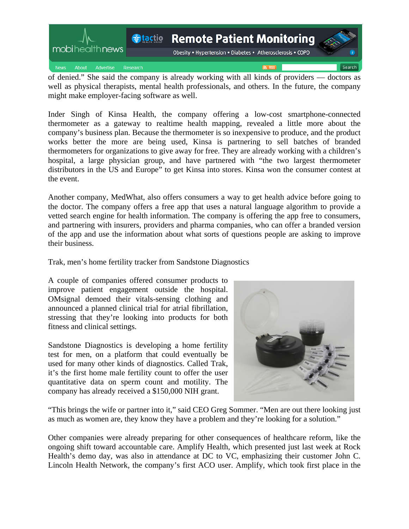

of denied." She said the company is already working with all kinds of providers — doctors as well as physical therapists, mental health professionals, and others. In the future, the company might make employer-facing software as well.

Inder Singh of Kinsa Health, the company offering a low-cost smartphone-connected thermometer as a gateway to realtime health mapping, revealed a little more about the company's business plan. Because the thermometer is so inexpensive to produce, and the product works better the more are being used, Kinsa is partnering to sell batches of branded thermometers for organizations to give away for free. They are already working with a children's hospital, a large physician group, and have partnered with "the two largest thermometer distributors in the US and Europe" to get Kinsa into stores. Kinsa won the consumer contest at the event.

Another company, MedWhat, also offers consumers a way to get health advice before going to the doctor. The company offers a free app that uses a natural language algorithm to provide a vetted search engine for health information. The company is offering the app free to consumers, and partnering with insurers, providers and pharma companies, who can offer a branded version of the app and use the information about what sorts of questions people are asking to improve their business.

Trak, men's home fertility tracker from Sandstone Diagnostics

A couple of companies offered consumer products to improve patient engagement outside the hospital. OMsignal demoed their vitals-sensing clothing and announced a planned clinical trial for atrial fibrillation, stressing that they're looking into products for both fitness and clinical settings.

Sandstone Diagnostics is developing a home fertility test for men, on a platform that could eventually be used for many other kinds of diagnostics. Called Trak, it's the first home male fertility count to offer the user quantitative data on sperm count and motility. The company has already received a \$150,000 NIH grant.



"This brings the wife or partner into it," said CEO Greg Sommer. "Men are out there looking just as much as women are, they know they have a problem and they're looking for a solution."

Other companies were already preparing for other consequences of healthcare reform, like the ongoing shift toward accountable care. Amplify Health, which presented just last week at Rock Health's demo day, was also in attendance at DC to VC, emphasizing their customer John C. Lincoln Health Network, the company's first ACO user. Amplify, which took first place in the